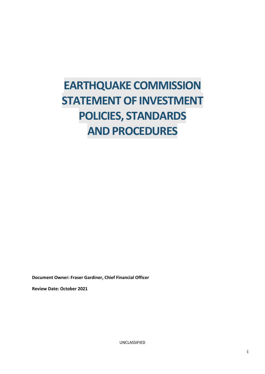# **EARTHQUAKE COMMISSION STATEMENT OF INVESTMENT POLICIES, STANDARDS AND PROCEDURES**

**Document Owner: Fraser Gardiner, Chief Financial Officer**

**Review Date: October 2021**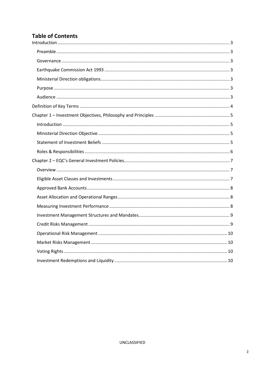# **Table of Contents**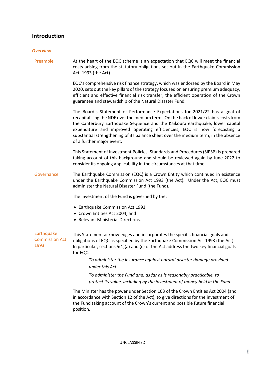# **Introduction**

#### *Overview*

Preamble At the heart of the EQC scheme is an expectation that EQC will meet the financial costs arising from the statutory obligations set out in the Earthquake Commission Act, 1993 (the Act).

> EQC's comprehensive risk finance strategy, which was endorsed by the Board in May 2020, sets out the key pillars of the strategy focused on ensuring premium adequacy, efficient and effective financial risk transfer, the efficient operation of the Crown guarantee and stewardship of the Natural Disaster Fund.

> The Board's Statement of Performance Expectations for 2021/22 has a goal of recapitalising the NDF over the medium term. On the back of lower claims costs from the Canterbury Earthquake Sequence and the Kaikoura earthquake, lower capital expenditure and improved operating efficiencies, EQC is now forecasting a substantial strengthening of its balance sheet over the medium term, in the absence of a further major event.

> This Statement of Investment Policies, Standards and Procedures (SIPSP) is prepared taking account of this background and should be reviewed again by June 2022 to consider its ongoing applicability in the circumstances at that time.

Governance The Earthquake Commission (EQC) is a Crown Entity which continued in existence under the Earthquake Commission Act 1993 (the Act). Under the Act, EQC must administer the Natural Disaster Fund (the Fund).

The investment of the Fund is governed by the:

- Earthquake Commission Act 1993,
- Crown Entities Act 2004, and
- Relevant Ministerial Directions.

**Earthquake** Commission Act 1993

This Statement acknowledges and incorporates the specific financial goals and obligations of EQC as specified by the Earthquake Commission Act 1993 (the Act). In particular, sections  $5(1)(a)$  and (c) of the Act address the two key financial goals for EQC:

*To administer the insurance against natural disaster damage provided under this Act.*

*To administer the Fund and, as far as is reasonably practicable, to protect its value, including by the investment of money held in the Fund.*

The Minister has the power under Section 103 of the Crown Entities Act 2004 (and in accordance with Section 12 of the Act), to give directions for the investment of the Fund taking account of the Crown's current and possible future financial position.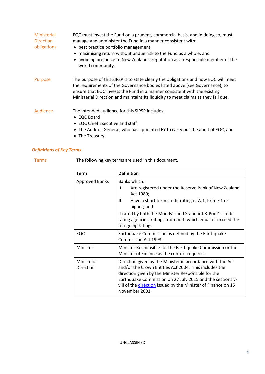| Ministerial<br><b>Direction</b><br>obligations | EQC must invest the Fund on a prudent, commercial basis, and in doing so, must<br>manage and administer the Fund in a manner consistent with:<br>• best practice portfolio management<br>• maximising return without undue risk to the Fund as a whole, and<br>• avoiding prejudice to New Zealand's reputation as a responsible member of the<br>world community. |
|------------------------------------------------|--------------------------------------------------------------------------------------------------------------------------------------------------------------------------------------------------------------------------------------------------------------------------------------------------------------------------------------------------------------------|
| Purpose                                        | The purpose of this SIPSP is to state clearly the obligations and how EQC will meet<br>the requirements of the Governance bodies listed above (see Governance), to<br>ensure that EQC invests the Fund in a manner consistent with the existing<br>Ministerial Direction and maintains its liquidity to meet claims as they fall due.                              |
| Audience                                       | The intended audience for this SIPSP includes:<br>• EQC Board<br>• EQC Chief Executive and staff<br>• The Auditor-General, who has appointed EY to carry out the audit of EQC, and                                                                                                                                                                                 |

• The Treasury.

# *Definitions of Key Terms*

Terms The following key terms are used in this document.

| Term                     | <b>Definition</b>                                                                                                                                                                                                                                                                                                                 |
|--------------------------|-----------------------------------------------------------------------------------------------------------------------------------------------------------------------------------------------------------------------------------------------------------------------------------------------------------------------------------|
| <b>Approved Banks</b>    | Banks which:                                                                                                                                                                                                                                                                                                                      |
|                          | Are registered under the Reserve Bank of New Zealand<br>I.<br>Act 1989;                                                                                                                                                                                                                                                           |
|                          | Have a short term credit rating of A-1, Prime-1 or<br>Ш.<br>higher; and                                                                                                                                                                                                                                                           |
|                          | If rated by both the Moody's and Standard & Poor's credit<br>rating agencies, ratings from both which equal or exceed the<br>foregoing ratings.                                                                                                                                                                                   |
| EQC                      | Earthquake Commission as defined by the Earthquake<br>Commission Act 1993.                                                                                                                                                                                                                                                        |
| Minister                 | Minister Responsible for the Earthquake Commission or the<br>Minister of Finance as the context requires.                                                                                                                                                                                                                         |
| Ministerial<br>Direction | Direction given by the Minister in accordance with the Act<br>and/or the Crown Entities Act 2004. This includes the<br>direction given by the Minister Responsible for the<br>Earthquake Commission on 27 July 2015 and the sections v-<br>viii of the <i>direction</i> issued by the Minister of Finance on 15<br>November 2001. |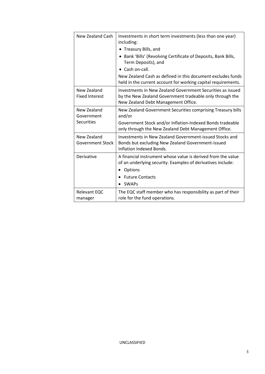| New Zealand Cash                       | Investments in short term investments (less than one year)<br>including:                                                                                      |
|----------------------------------------|---------------------------------------------------------------------------------------------------------------------------------------------------------------|
|                                        | • Treasury Bills, and                                                                                                                                         |
|                                        | • Bank 'Bills' (Revolving Certificate of Deposits, Bank Bills,<br>Term Deposits), and                                                                         |
|                                        | • Cash on-call.                                                                                                                                               |
|                                        | New Zealand Cash as defined in this document excludes funds<br>held in the current account for working capital requirements.                                  |
| New Zealand<br><b>Fixed Interest</b>   | Investments in New Zealand Government Securities as issued<br>by the New Zealand Government tradeable only through the<br>New Zealand Debt Management Office. |
| New Zealand<br>Government              | New Zealand Government Securities comprising Treasury bills<br>and/or                                                                                         |
| <b>Securities</b>                      | Government Stock and/or Inflation-Indexed Bonds tradeable<br>only through the New Zealand Debt Management Office.                                             |
| New Zealand<br><b>Government Stock</b> | Investments in New Zealand Government-issued Stocks and<br>Bonds but excluding New Zealand Government-issued<br><b>Inflation Indexed Bonds.</b>               |
| Derivative                             | A financial instrument whose value is derived from the value<br>of an underlying security. Examples of derivatives include:                                   |
|                                        | Options<br>$\bullet$                                                                                                                                          |
|                                        | <b>Future Contacts</b>                                                                                                                                        |
|                                        | SWAPs                                                                                                                                                         |
| Relevant EQC<br>manager                | The EQC staff member who has responsibility as part of their<br>role for the fund operations.                                                                 |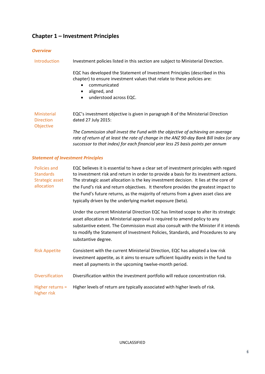# **Chapter 1 – Investment Principles**

#### *Overview*

| Introduction                                        | Investment policies listed in this section are subject to Ministerial Direction.                                                                                            |
|-----------------------------------------------------|-----------------------------------------------------------------------------------------------------------------------------------------------------------------------------|
|                                                     | EQC has developed the Statement of Investment Principles (described in this<br>chapter) to ensure investment values that relate to these policies are:<br>communicated<br>٠ |
|                                                     | aligned, and                                                                                                                                                                |
|                                                     | understood across EQC.<br>$\bullet$                                                                                                                                         |
| Ministerial<br><b>Direction</b><br><b>Objective</b> | EQC's investment objective is given in paragraph 8 of the Ministerial Direction<br>dated 27 July 2015:                                                                      |
|                                                     | The Commission shall invest the Fund with the objective of achieving an average<br>rate of return of at least the rate of change in the ANZ 90-day Bank Bill Index (or any  |

*successor to that index) for each financial year less 25 basis points per annum*

### *Statement of Investment Principles*

| Policies and<br><b>Standards</b><br>Strategic asset<br>allocation | EQC believes it is essential to have a clear set of investment principles with regard<br>to investment risk and return in order to provide a basis for its investment actions.<br>The strategic asset allocation is the key investment decision. It lies at the core of<br>the Fund's risk and return objectives. It therefore provides the greatest impact to<br>the Fund's future returns, as the majority of returns from a given asset class are<br>typically driven by the underlying market exposure (beta). |  |
|-------------------------------------------------------------------|--------------------------------------------------------------------------------------------------------------------------------------------------------------------------------------------------------------------------------------------------------------------------------------------------------------------------------------------------------------------------------------------------------------------------------------------------------------------------------------------------------------------|--|
|                                                                   | Under the current Ministerial Direction EQC has limited scope to alter its strategic<br>asset allocation as Ministerial approval is required to amend policy to any<br>substantive extent. The Commission must also consult with the Minister if it intends<br>to modify the Statement of Investment Policies, Standards, and Procedures to any<br>substantive degree.                                                                                                                                             |  |
| <b>Risk Appetite</b>                                              | Consistent with the current Ministerial Direction, EQC has adopted a low risk<br>investment appetite, as it aims to ensure sufficient liquidity exists in the fund to<br>meet all payments in the upcoming twelve-month period.                                                                                                                                                                                                                                                                                    |  |
| <b>Diversification</b>                                            | Diversification within the investment portfolio will reduce concentration risk.                                                                                                                                                                                                                                                                                                                                                                                                                                    |  |
| Higher returns =<br>higher risk                                   | Higher levels of return are typically associated with higher levels of risk.                                                                                                                                                                                                                                                                                                                                                                                                                                       |  |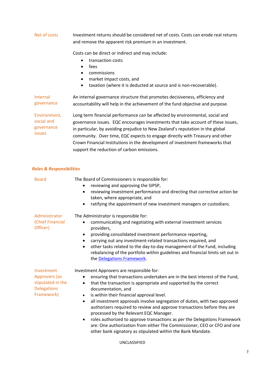Net of costs Investment returns should be considered net of costs. Costs can erode real returns and remove the apparent risk premium in an investment.

Costs can be direct or indirect and may include:

- transaction costs
- fees
- commissions
- market impact costs, and
- taxation (where it is deducted at source and is non-recoverable).

Internal governance An internal governance structure that promotes decisiveness, efficiency and accountability will help in the achievement of the fund objective and purpose.

Environment, social and governance issues Long term financial performance can be affected by environmental, social and governance issues. EQC encourages investments that take account of these issues, in particular, by avoiding prejudice to New Zealand's reputation in the global community. Over time, EQC expects to engage directly with Treasury and other Crown Financial Institutions in the development of investment frameworks that support the reduction of carbon emissions.

#### *Roles & Responsibilities*

| <b>Board</b>                                                                         | The Board of Commissioners is responsible for:<br>reviewing and approving the SIPSP,<br>reviewing investment performance and directing that corrective action be<br>$\bullet$<br>taken, where appropriate, and<br>ratifying the appointment of new investment managers or custodians.                                                                                                                                                                                                                                                                                                                                                                                                                                                        |
|--------------------------------------------------------------------------------------|----------------------------------------------------------------------------------------------------------------------------------------------------------------------------------------------------------------------------------------------------------------------------------------------------------------------------------------------------------------------------------------------------------------------------------------------------------------------------------------------------------------------------------------------------------------------------------------------------------------------------------------------------------------------------------------------------------------------------------------------|
| Administrator<br>(Chief Financial<br>Officer)                                        | The Administrator is responsible for:<br>communicating and negotiating with external investment services<br>providers,<br>providing consolidated investment performance reporting,<br>٠<br>carrying out any investment-related transactions required, and<br>$\bullet$<br>other tasks related to the day-to-day management of the Fund, including<br>$\bullet$<br>rebalancing of the portfolio within guidelines and financial limits set out in<br>the Delegations Framework.                                                                                                                                                                                                                                                               |
| Investment<br>Approvers (as<br>stipulated in the<br><b>Delegations</b><br>Framework) | Investment Approvers are responsible for:<br>ensuring that transactions undertaken are in the best interest of the Fund,<br>that the transaction is appropriate and supported by the correct<br>$\bullet$<br>documentation, and<br>is within their financial approval level.<br>$\bullet$<br>all investment approvals involve segregation of duties, with two approved<br>$\bullet$<br>authorizers required to review and approve transactions before they are<br>processed by the Relevant EQC Manager.<br>roles authorized to approve transactions as per the Delegations Framework<br>$\bullet$<br>are: One authorization from either The Commissioner, CEO or CFO and one<br>other bank signatory as stipulated within the Bank Mandate. |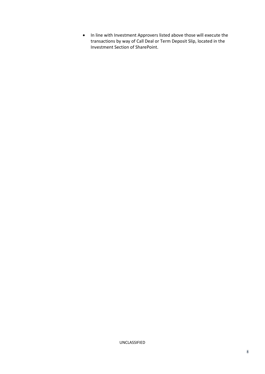• In line with Investment Approvers listed above those will execute the transactions by way of Call Deal or Term Deposit Slip, located in the Investment Section of SharePoint.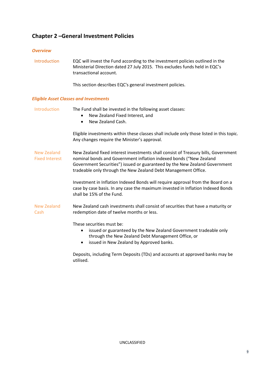# **Chapter 2 –General Investment Policies**

#### *Overview*

Introduction EQC will invest the Fund according to the investment policies outlined in the Ministerial Direction dated 27 July 2015. This excludes funds held in EQC's transactional account.

This section describes EQC's general investment policies.

#### *Eligible Asset Classes and Investments*

| Introduction                         | The Fund shall be invested in the following asset classes:<br>New Zealand Fixed Interest, and<br>New Zealand Cash.<br>$\bullet$                                                                                                                                                                          |
|--------------------------------------|----------------------------------------------------------------------------------------------------------------------------------------------------------------------------------------------------------------------------------------------------------------------------------------------------------|
|                                      | Eligible investments within these classes shall include only those listed in this topic.<br>Any changes require the Minister's approval.                                                                                                                                                                 |
| New Zealand<br><b>Fixed Interest</b> | New Zealand fixed interest investments shall consist of Treasury bills, Government<br>nominal bonds and Government inflation indexed bonds ("New Zealand<br>Government Securities") issued or guaranteed by the New Zealand Government<br>tradeable only through the New Zealand Debt Management Office. |
|                                      | Investment in Inflation Indexed Bonds will require approval from the Board on a<br>case by case basis. In any case the maximum invested in Inflation Indexed Bonds<br>shall be 15% of the Fund.                                                                                                          |
| New Zealand<br>Cash                  | New Zealand cash investments shall consist of securities that have a maturity or<br>redemption date of twelve months or less.                                                                                                                                                                            |
|                                      | These securities must be:<br>issued or guaranteed by the New Zealand Government tradeable only<br>through the New Zealand Debt Management Office, or<br>issued in New Zealand by Approved banks.                                                                                                         |

Deposits, including Term Deposits (TDs) and accounts at approved banks may be utilised.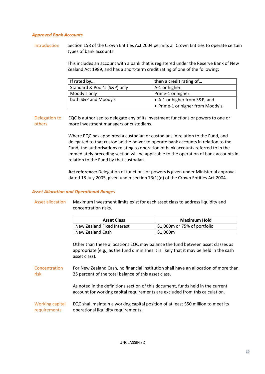#### *Approved Bank Accounts*

Introduction Section 158 of the Crown Entities Act 2004 permits all Crown Entities to operate certain types of bank accounts.

> This includes an account with a bank that is registered under the Reserve Bank of New Zealand Act 1989, and has a short-term credit rating of one of the following:

| If rated by                  | then a credit rating of           |
|------------------------------|-----------------------------------|
| Standard & Poor's (S&P) only | A-1 or higher.                    |
| Moody's only                 | Prime-1 or higher.                |
| both S&P and Moody's         | • A-1 or higher from S&P, and     |
|                              | • Prime-1 or higher from Moody's. |

Delegation to others EQC is authorised to delegate any of its investment functions or powers to one or more investment managers or custodians.

> Where EQC has appointed a custodian or custodians in relation to the Fund, and delegated to that custodian the power to operate bank accounts in relation to the Fund, the authorisations relating to operation of bank accounts referred to in the immediately preceding section will be applicable to the operation of bank accounts in relation to the Fund by that custodian.

**Act reference:** Delegation of functions or powers is given under Ministerial approval dated 18 July 2005, given under section 73(1)(d) of the Crown Entities Act 2004.

#### *Asset Allocation and Operational Ranges*

Asset allocation Maximum investment limits exist for each asset class to address liquidity and concentration risks.

| <b>Asset Class</b>         | <b>Maximum Hold</b>          |
|----------------------------|------------------------------|
| New Zealand Fixed Interest | \$1,000m or 75% of portfolio |
| New Zealand Cash           | $\frac{1}{2}$ \$1,000m       |

Other than these allocations EQC may balance the fund between asset classes as appropriate (e.g., as the fund diminishes it is likely that it may be held in the cash asset class).

**Concentration** risk For New Zealand Cash, no financial institution shall have an allocation of more than 25 percent of the total balance of this asset class.

> As noted in the definitions section of this document, funds held in the current account for working capital requirements are excluded from this calculation.

Working capital requirements EQC shall maintain a working capital position of at least \$50 million to meet its operational liquidity requirements.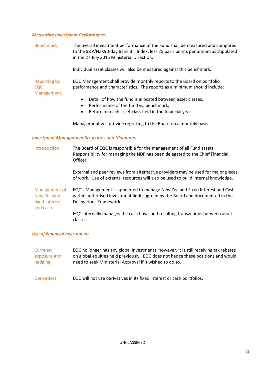#### *Measuring Investment Performance*

Benchmark The overall investment performance of the Fund shall be measured and compared to the S&P/NZX90-day Bank Bill Index, less 25 basis points per annum as stipulated in the 27 July 2015 Ministerial Direction.

Individual asset classes will also be measured against this benchmark.

Reporting by EQC Management EQC Management shall provide monthly reports to the Board on portfolio performance and characteristics. The reports as a minimum should include:

- Detail of how the fund is allocated between asset classes,
- Performance of the fund vs. benchmark,
- Return on each asset class held in the financial year

Management will provide reporting to the Board on a monthly basis.

#### *Investment Management Structures and Mandates*

| Introduction                                               | The Board of EQC is responsible for the management of all Fund assets.<br>Responsibility for managing the NDF has been delegated to the Chief Financial<br>Officer.                    |
|------------------------------------------------------------|----------------------------------------------------------------------------------------------------------------------------------------------------------------------------------------|
|                                                            | External and peer reviews from alternative providers may be used for major pieces<br>of work. Use of external resources will also be used to build internal knowledge.                 |
| Management of<br>New Zealand<br>fixed interest<br>and cash | EQC's Management is appointed to manage New Zealand Fixed Interest and Cash<br>within authorised investment limits agreed by the Board and documented in the<br>Delegations Framework. |
|                                                            | EQC internally manages the cash flows and resulting transactions between asset<br>classes.                                                                                             |

#### *Use of Financial Instruments*

| Currency           | EQC no longer has any global Investments; however, it is still receiving tax rebates |
|--------------------|--------------------------------------------------------------------------------------|
| exposure and       | on global equities held previously. EQC does not hedge these positions and would     |
| hedging            | need to seek Ministerial Approval if it wished to do so.                             |
| <b>Derivatives</b> | EQC will not use derivatives in its fixed interest or cash portfolios.               |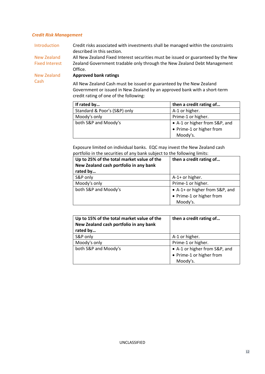#### *Credit Risk Management*

Introduction Credit risks associated with investments shall be managed within the constraints described in this section.

New Zealand Fixed Interest All New Zealand Fixed Interest securities must be issued or guaranteed by the New Zealand Government tradable only through the New Zealand Debt Management Office.

New Zealand

Cash

**Approved bank ratings**

All New Zealand Cash must be issued or guaranteed by the New Zealand Government or issued in New Zealand by an approved bank with a short-term credit rating of one of the following:

| If rated by                  | then a credit rating of       |
|------------------------------|-------------------------------|
| Standard & Poor's (S&P) only | A-1 or higher.                |
| Moody's only                 | Prime-1 or higher.            |
| both S&P and Moody's         | • A-1 or higher from S&P, and |
|                              | • Prime-1 or higher from      |
|                              | Moody's.                      |

Exposure limited on individual banks. EQC may invest the New Zealand cash portfolio in the securities of any bank subject to the following limits:

| Up to 25% of the total market value of the<br>New Zealand cash portfolio in any bank | then a credit rating of        |  |  |  |
|--------------------------------------------------------------------------------------|--------------------------------|--|--|--|
| rated by                                                                             |                                |  |  |  |
| S&P only                                                                             | A-1+ or higher.                |  |  |  |
| Moody's only                                                                         | Prime-1 or higher.             |  |  |  |
| both S&P and Moody's                                                                 | • A-1+ or higher from S&P, and |  |  |  |
|                                                                                      | • Prime-1 or higher from       |  |  |  |
|                                                                                      | Moody's.                       |  |  |  |

| Up to 15% of the total market value of the<br>New Zealand cash portfolio in any bank<br>rated by | then a credit rating of       |  |  |  |
|--------------------------------------------------------------------------------------------------|-------------------------------|--|--|--|
| S&P only                                                                                         | A-1 or higher.                |  |  |  |
| Moody's only                                                                                     | Prime-1 or higher.            |  |  |  |
| both S&P and Moody's                                                                             | • A-1 or higher from S&P, and |  |  |  |
|                                                                                                  | • Prime-1 or higher from      |  |  |  |
|                                                                                                  | Moody's.                      |  |  |  |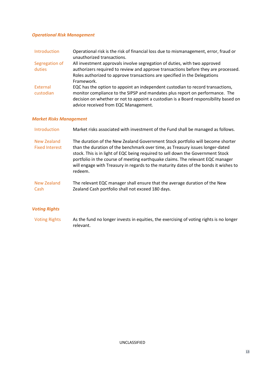#### *Operational Risk Management*

| Introduction             | Operational risk is the risk of financial loss due to mismanagement, error, fraud or<br>unauthorized transactions.                                                                                                                                                                             |
|--------------------------|------------------------------------------------------------------------------------------------------------------------------------------------------------------------------------------------------------------------------------------------------------------------------------------------|
| Segregation of<br>duties | All investment approvals involve segregation of duties, with two approved<br>authorizers required to review and approve transactions before they are processed.<br>Roles authorized to approve transactions are specified in the Delegations<br>Framework.                                     |
| External<br>custodian    | EQC has the option to appoint an independent custodian to record transactions,<br>monitor compliance to the SIPSP and mandates plus report on performance. The<br>decision on whether or not to appoint a custodian is a Board responsibility based on<br>advice received from EQC Management. |

#### *Market Risks Management*

| Introduction                         | Market risks associated with investment of the Fund shall be managed as follows.                                                                                                                                                                                                                                                                                                                                                        |
|--------------------------------------|-----------------------------------------------------------------------------------------------------------------------------------------------------------------------------------------------------------------------------------------------------------------------------------------------------------------------------------------------------------------------------------------------------------------------------------------|
| New Zealand<br><b>Fixed Interest</b> | The duration of the New Zealand Government Stock portfolio will become shorter<br>than the duration of the benchmark over time, as Treasury issues longer-dated<br>stock. This is in light of EQC being required to sell down the Government Stock<br>portfolio in the course of meeting earthquake claims. The relevant EQC manager<br>will engage with Treasury in regards to the maturity dates of the bonds it wishes to<br>redeem. |
| New Zealand<br>Cash                  | The relevant EQC manager shall ensure that the average duration of the New<br>Zealand Cash portfolio shall not exceed 180 days.                                                                                                                                                                                                                                                                                                         |

# *Voting Rights*

Voting Rights As the fund no longer invests in equities, the exercising of voting rights is no longer relevant.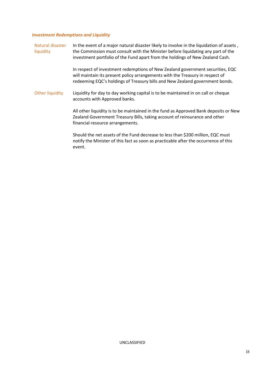#### *Investment Redemptions and Liquidity*

Natural disaster liquidity In the event of a major natural disaster likely to involve in the liquidation of assets , the Commission must consult with the Minister before liquidating any part of the investment portfolio of the Fund apart from the holdings of New Zealand Cash.

> In respect of investment redemptions of New Zealand government securities, EQC will maintain its present policy arrangements with the Treasury in respect of redeeming EQC's holdings of Treasury bills and New Zealand government bonds.

Other liquidity Liquidity for day to day working capital is to be maintained in on call or cheque accounts with Approved banks.

> All other liquidity is to be maintained in the fund as Approved Bank deposits or New Zealand Government Treasury Bills, taking account of reinsurance and other financial resource arrangements.

Should the net assets of the Fund decrease to less than \$200 million, EQC must notify the Minister of this fact as soon as practicable after the occurrence of this event.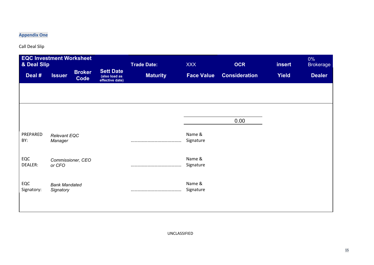# **Appendix One**

Call Deal Slip

| <b>EQC Investment Worksheet</b><br>& Deal Slip |                                               |                                                      | <b>Trade Date:</b> | <b>XXX</b>          | <b>OCR</b>           | <b>insert</b> | 0%<br><b>Brokerage</b> |
|------------------------------------------------|-----------------------------------------------|------------------------------------------------------|--------------------|---------------------|----------------------|---------------|------------------------|
| Deal #                                         | <b>Broker</b><br><b>Issuer</b><br><b>Code</b> | <b>Sett Date</b><br>(also load as<br>effective date) | <b>Maturity</b>    | <b>Face Value</b>   | <b>Consideration</b> |               | <b>Dealer</b>          |
|                                                |                                               |                                                      |                    |                     |                      |               |                        |
|                                                |                                               |                                                      |                    |                     |                      |               |                        |
|                                                |                                               |                                                      |                    |                     | 0.00                 |               |                        |
| PREPARED<br>BY:                                | <b>Relevant EQC</b><br>Manager                |                                                      |                    | Name &<br>Signature |                      |               |                        |
| EQC<br><b>DEALER:</b>                          | Commissioner, CEO<br>or CFO                   |                                                      |                    | Name &<br>Signature |                      |               |                        |
| EQC<br>Signatory:                              | <b>Bank Mandated</b><br>Signatory             |                                                      |                    | Name &<br>Signature |                      |               |                        |
|                                                |                                               |                                                      |                    |                     |                      |               |                        |